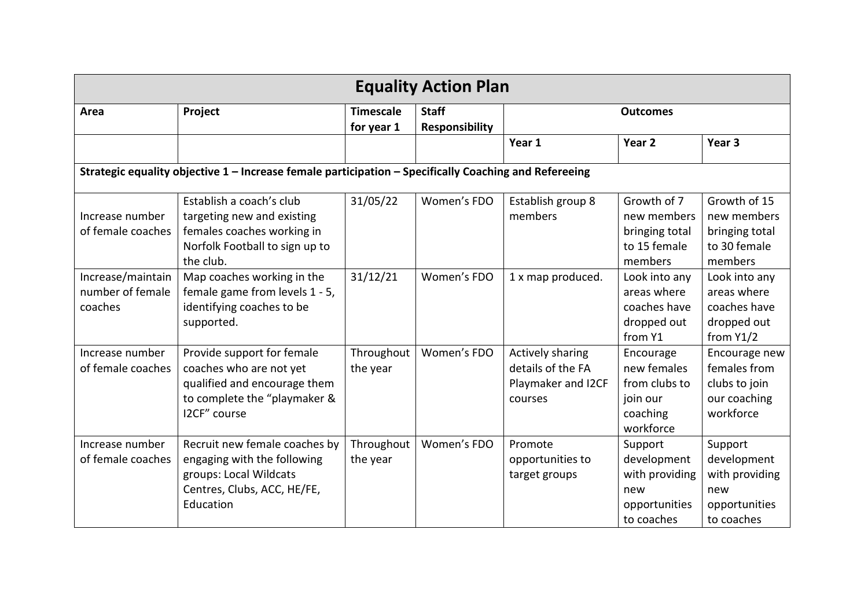| <b>Equality Action Plan</b>                      |                                                                                                                                       |                                |                                       |                                                                        |                                                                                |                                                                                |
|--------------------------------------------------|---------------------------------------------------------------------------------------------------------------------------------------|--------------------------------|---------------------------------------|------------------------------------------------------------------------|--------------------------------------------------------------------------------|--------------------------------------------------------------------------------|
| Area                                             | Project                                                                                                                               | <b>Timescale</b><br>for year 1 | <b>Staff</b><br><b>Responsibility</b> | <b>Outcomes</b>                                                        |                                                                                |                                                                                |
|                                                  |                                                                                                                                       |                                |                                       | Year 1                                                                 | Year <sub>2</sub>                                                              | Year <sub>3</sub>                                                              |
|                                                  | Strategic equality objective 1 - Increase female participation - Specifically Coaching and Refereeing                                 |                                |                                       |                                                                        |                                                                                |                                                                                |
| Increase number<br>of female coaches             | Establish a coach's club<br>targeting new and existing<br>females coaches working in<br>Norfolk Football to sign up to<br>the club.   | 31/05/22                       | Women's FDO                           | Establish group 8<br>members                                           | Growth of 7<br>new members<br>bringing total<br>to 15 female<br>members        | Growth of 15<br>new members<br>bringing total<br>to 30 female<br>members       |
| Increase/maintain<br>number of female<br>coaches | Map coaches working in the<br>female game from levels 1 - 5,<br>identifying coaches to be<br>supported.                               | 31/12/21                       | Women's FDO                           | 1 x map produced.                                                      | Look into any<br>areas where<br>coaches have<br>dropped out<br>from Y1         | Look into any<br>areas where<br>coaches have<br>dropped out<br>from $Y1/2$     |
| Increase number<br>of female coaches             | Provide support for female<br>coaches who are not yet<br>qualified and encourage them<br>to complete the "playmaker &<br>I2CF" course | Throughout<br>the year         | Women's FDO                           | Actively sharing<br>details of the FA<br>Playmaker and I2CF<br>courses | Encourage<br>new females<br>from clubs to<br>join our<br>coaching<br>workforce | Encourage new<br>females from<br>clubs to join<br>our coaching<br>workforce    |
| Increase number<br>of female coaches             | Recruit new female coaches by<br>engaging with the following<br>groups: Local Wildcats<br>Centres, Clubs, ACC, HE/FE,<br>Education    | Throughout<br>the year         | Women's FDO                           | Promote<br>opportunities to<br>target groups                           | Support<br>development<br>with providing<br>new<br>opportunities<br>to coaches | Support<br>development<br>with providing<br>new<br>opportunities<br>to coaches |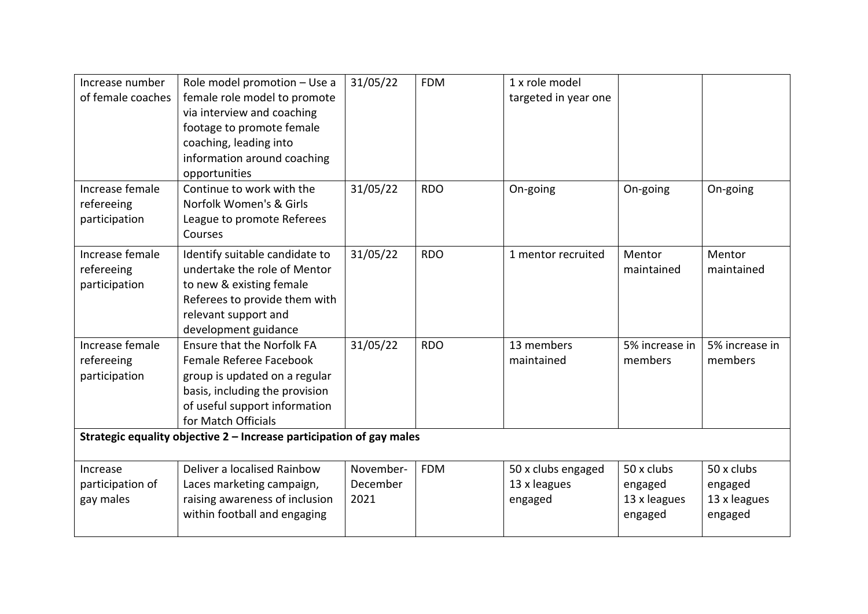| Increase number<br>of female coaches           | Role model promotion - Use a<br>female role model to promote<br>via interview and coaching<br>footage to promote female<br>coaching, leading into<br>information around coaching<br>opportunities | 31/05/22                      | <b>FDM</b> | 1 x role model<br>targeted in year one        |                                                  |                                                  |
|------------------------------------------------|---------------------------------------------------------------------------------------------------------------------------------------------------------------------------------------------------|-------------------------------|------------|-----------------------------------------------|--------------------------------------------------|--------------------------------------------------|
| Increase female<br>refereeing<br>participation | Continue to work with the<br>Norfolk Women's & Girls<br>League to promote Referees<br>Courses                                                                                                     | 31/05/22                      | <b>RDO</b> | On-going                                      | On-going                                         | On-going                                         |
| Increase female<br>refereeing<br>participation | Identify suitable candidate to<br>undertake the role of Mentor<br>to new & existing female<br>Referees to provide them with<br>relevant support and<br>development guidance                       | 31/05/22                      | <b>RDO</b> | 1 mentor recruited                            | Mentor<br>maintained                             | Mentor<br>maintained                             |
| Increase female<br>refereeing<br>participation | <b>Ensure that the Norfolk FA</b><br>Female Referee Facebook<br>group is updated on a regular<br>basis, including the provision<br>of useful support information<br>for Match Officials           | 31/05/22                      | <b>RDO</b> | 13 members<br>maintained                      | 5% increase in<br>members                        | 5% increase in<br>members                        |
|                                                | Strategic equality objective 2 - Increase participation of gay males                                                                                                                              |                               |            |                                               |                                                  |                                                  |
| Increase<br>participation of<br>gay males      | Deliver a localised Rainbow<br>Laces marketing campaign,<br>raising awareness of inclusion<br>within football and engaging                                                                        | November-<br>December<br>2021 | <b>FDM</b> | 50 x clubs engaged<br>13 x leagues<br>engaged | 50 x clubs<br>engaged<br>13 x leagues<br>engaged | 50 x clubs<br>engaged<br>13 x leagues<br>engaged |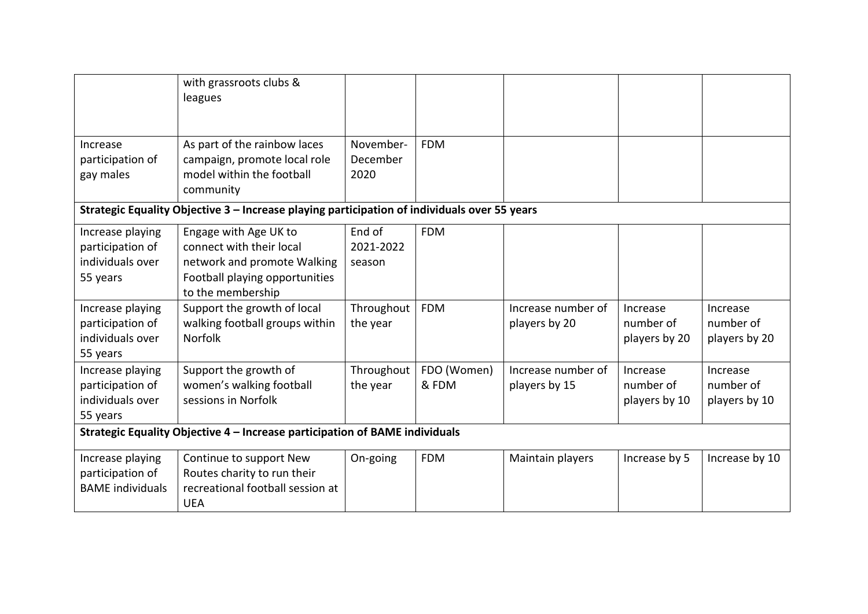|                                                                             | with grassroots clubs &<br>leagues                                                                                                      |                               |                      |                                     |                                        |                                        |
|-----------------------------------------------------------------------------|-----------------------------------------------------------------------------------------------------------------------------------------|-------------------------------|----------------------|-------------------------------------|----------------------------------------|----------------------------------------|
| Increase<br>participation of<br>gay males                                   | As part of the rainbow laces<br>campaign, promote local role<br>model within the football                                               | November-<br>December<br>2020 | <b>FDM</b>           |                                     |                                        |                                        |
|                                                                             | community<br>Strategic Equality Objective 3 - Increase playing participation of individuals over 55 years                               |                               |                      |                                     |                                        |                                        |
| Increase playing<br>participation of<br>individuals over<br>55 years        | Engage with Age UK to<br>connect with their local<br>network and promote Walking<br>Football playing opportunities<br>to the membership | End of<br>2021-2022<br>season | <b>FDM</b>           |                                     |                                        |                                        |
| Increase playing<br>participation of<br>individuals over<br>55 years        | Support the growth of local<br>walking football groups within<br><b>Norfolk</b>                                                         | Throughout<br>the year        | <b>FDM</b>           | Increase number of<br>players by 20 | Increase<br>number of<br>players by 20 | Increase<br>number of<br>players by 20 |
| Increase playing<br>participation of<br>individuals over<br>55 years        | Support the growth of<br>women's walking football<br>sessions in Norfolk                                                                | Throughout<br>the year        | FDO (Women)<br>& FDM | Increase number of<br>players by 15 | Increase<br>number of<br>players by 10 | Increase<br>number of<br>players by 10 |
| Strategic Equality Objective 4 - Increase participation of BAME individuals |                                                                                                                                         |                               |                      |                                     |                                        |                                        |
| Increase playing<br>participation of<br><b>BAME</b> individuals             | Continue to support New<br>Routes charity to run their<br>recreational football session at<br><b>UEA</b>                                | On-going                      | <b>FDM</b>           | Maintain players                    | Increase by 5                          | Increase by 10                         |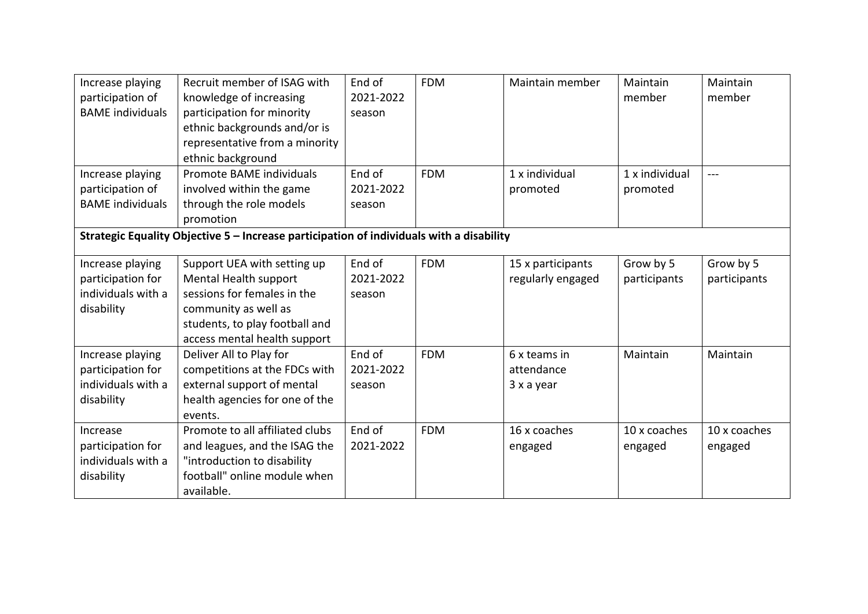| Increase playing<br>participation of<br><b>BAME</b> individuals           | Recruit member of ISAG with<br>knowledge of increasing<br>participation for minority<br>ethnic backgrounds and/or is<br>representative from a minority                        | End of<br>2021-2022<br>season | <b>FDM</b> | Maintain member                          | Maintain<br>member        | Maintain<br>member        |
|---------------------------------------------------------------------------|-------------------------------------------------------------------------------------------------------------------------------------------------------------------------------|-------------------------------|------------|------------------------------------------|---------------------------|---------------------------|
| Increase playing                                                          | ethnic background<br>Promote BAME individuals                                                                                                                                 | End of                        | <b>FDM</b> | 1 x individual                           | 1 x individual            | $---$                     |
| participation of<br><b>BAME</b> individuals                               | involved within the game<br>through the role models<br>promotion                                                                                                              | 2021-2022<br>season           |            | promoted                                 | promoted                  |                           |
|                                                                           | Strategic Equality Objective 5 - Increase participation of individuals with a disability                                                                                      |                               |            |                                          |                           |                           |
| Increase playing<br>participation for<br>individuals with a<br>disability | Support UEA with setting up<br>Mental Health support<br>sessions for females in the<br>community as well as<br>students, to play football and<br>access mental health support | End of<br>2021-2022<br>season | <b>FDM</b> | 15 x participants<br>regularly engaged   | Grow by 5<br>participants | Grow by 5<br>participants |
| Increase playing<br>participation for<br>individuals with a<br>disability | Deliver All to Play for<br>competitions at the FDCs with<br>external support of mental<br>health agencies for one of the<br>events.                                           | End of<br>2021-2022<br>season | <b>FDM</b> | 6 x teams in<br>attendance<br>3 x a year | Maintain                  | Maintain                  |
| Increase<br>participation for<br>individuals with a<br>disability         | Promote to all affiliated clubs<br>and leagues, and the ISAG the<br>"introduction to disability<br>football" online module when<br>available.                                 | End of<br>2021-2022           | <b>FDM</b> | 16 x coaches<br>engaged                  | 10 x coaches<br>engaged   | 10 x coaches<br>engaged   |